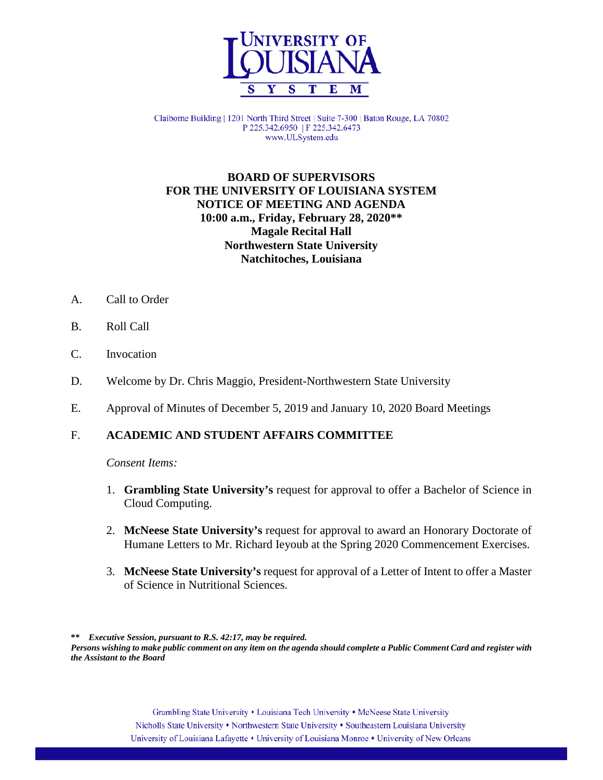

Claiborne Building | 1201 North Third Street | Suite 7-300 | Baton Rouge, LA 70802 P 225.342.6950 | F 225.342.6473 www.ULSystem.edu

# **BOARD OF SUPERVISORS FOR THE UNIVERSITY OF LOUISIANA SYSTEM NOTICE OF MEETING AND AGENDA 10:00 a.m., Friday, February 28, 2020\*\* Magale Recital Hall Northwestern State University Natchitoches, Louisiana**

- A. Call to Order
- B. Roll Call
- C. Invocation
- D. Welcome by Dr. Chris Maggio, President-Northwestern State University
- E. Approval of Minutes of December 5, 2019 and January 10, 2020 Board Meetings

# F. **ACADEMIC AND STUDENT AFFAIRS COMMITTEE**

*Consent Items:*

- 1. **Grambling State University's** request for approval to offer a Bachelor of Science in Cloud Computing.
- 2. **McNeese State University's** request for approval to award an Honorary Doctorate of Humane Letters to Mr. Richard Ieyoub at the Spring 2020 Commencement Exercises.
- 3. **McNeese State University's** request for approval of a Letter of Intent to offer a Master of Science in Nutritional Sciences.

**\*\*** *Executive Session, pursuant to R.S. 42:17, may be required.*

*Persons wishing to make public comment on any item on the agenda should complete a Public Comment Card and register with the Assistant to the Board*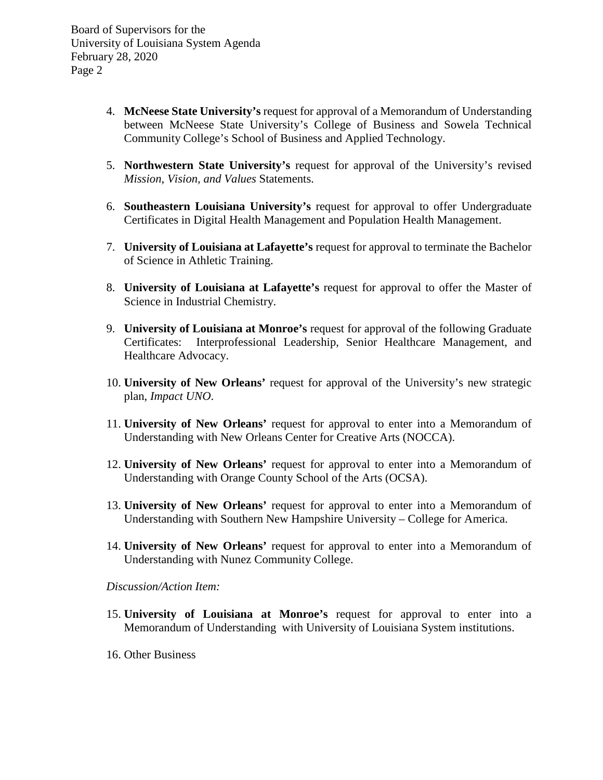- 4. **McNeese State University's** request for approval of a Memorandum of Understanding between McNeese State University's College of Business and Sowela Technical Community College's School of Business and Applied Technology.
- 5. **Northwestern State University's** request for approval of the University's revised *Mission, Vision, and Values* Statements.
- 6. **Southeastern Louisiana University's** request for approval to offer Undergraduate Certificates in Digital Health Management and Population Health Management.
- 7. **University of Louisiana at Lafayette's** request for approval to terminate the Bachelor of Science in Athletic Training.
- 8. **University of Louisiana at Lafayette's** request for approval to offer the Master of Science in Industrial Chemistry.
- 9. **University of Louisiana at Monroe's** request for approval of the following Graduate Certificates: Interprofessional Leadership, Senior Healthcare Management, and Healthcare Advocacy.
- 10. **University of New Orleans'** request for approval of the University's new strategic plan, *Impact UNO*.
- 11. **University of New Orleans'** request for approval to enter into a Memorandum of Understanding with New Orleans Center for Creative Arts (NOCCA).
- 12. **University of New Orleans'** request for approval to enter into a Memorandum of Understanding with Orange County School of the Arts (OCSA).
- 13. **University of New Orleans'** request for approval to enter into a Memorandum of Understanding with Southern New Hampshire University – College for America.
- 14. **University of New Orleans'** request for approval to enter into a Memorandum of Understanding with Nunez Community College.

*Discussion/Action Item:*

- 15. **University of Louisiana at Monroe's** request for approval to enter into a Memorandum of Understanding with University of Louisiana System institutions.
- 16. Other Business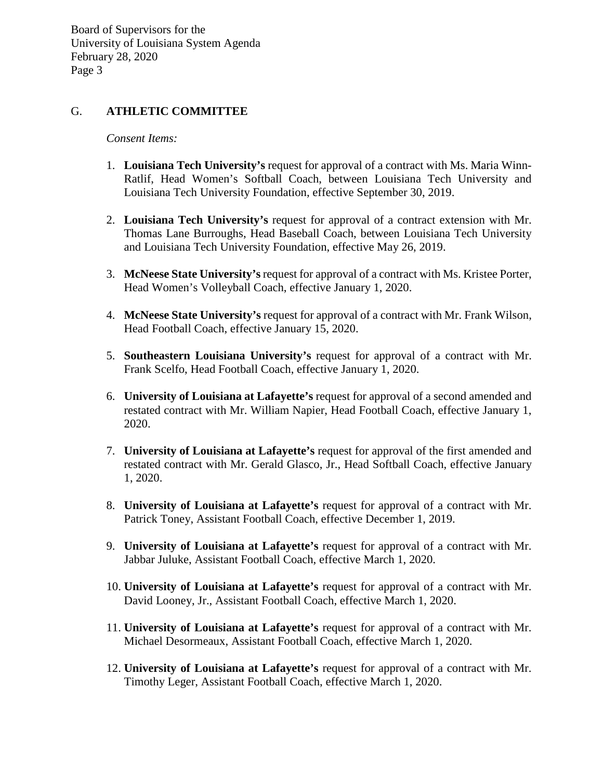## G. **ATHLETIC COMMITTEE**

*Consent Items:*

- 1. **Louisiana Tech University's** request for approval of a contract with Ms. Maria Winn-Ratlif, Head Women's Softball Coach, between Louisiana Tech University and Louisiana Tech University Foundation, effective September 30, 2019.
- 2. **Louisiana Tech University's** request for approval of a contract extension with Mr. Thomas Lane Burroughs, Head Baseball Coach, between Louisiana Tech University and Louisiana Tech University Foundation, effective May 26, 2019.
- 3. **McNeese State University's** request for approval of a contract with Ms. Kristee Porter, Head Women's Volleyball Coach, effective January 1, 2020.
- 4. **McNeese State University's** request for approval of a contract with Mr. Frank Wilson, Head Football Coach, effective January 15, 2020.
- 5. **Southeastern Louisiana University's** request for approval of a contract with Mr. Frank Scelfo, Head Football Coach, effective January 1, 2020.
- 6. **University of Louisiana at Lafayette's** request for approval of a second amended and restated contract with Mr. William Napier, Head Football Coach, effective January 1, 2020.
- 7. **University of Louisiana at Lafayette's** request for approval of the first amended and restated contract with Mr. Gerald Glasco, Jr., Head Softball Coach, effective January 1, 2020.
- 8. **University of Louisiana at Lafayette's** request for approval of a contract with Mr. Patrick Toney, Assistant Football Coach, effective December 1, 2019.
- 9. **University of Louisiana at Lafayette's** request for approval of a contract with Mr. Jabbar Juluke, Assistant Football Coach, effective March 1, 2020.
- 10. **University of Louisiana at Lafayette's** request for approval of a contract with Mr. David Looney, Jr., Assistant Football Coach, effective March 1, 2020.
- 11. **University of Louisiana at Lafayette's** request for approval of a contract with Mr. Michael Desormeaux, Assistant Football Coach, effective March 1, 2020.
- 12. **University of Louisiana at Lafayette's** request for approval of a contract with Mr. Timothy Leger, Assistant Football Coach, effective March 1, 2020.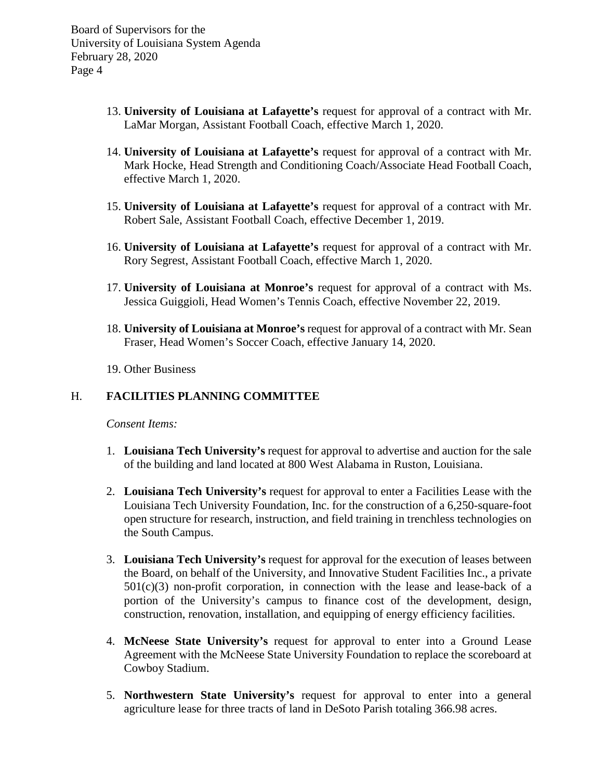- 13. **University of Louisiana at Lafayette's** request for approval of a contract with Mr. LaMar Morgan, Assistant Football Coach, effective March 1, 2020.
- 14. **University of Louisiana at Lafayette's** request for approval of a contract with Mr. Mark Hocke, Head Strength and Conditioning Coach/Associate Head Football Coach, effective March 1, 2020.
- 15. **University of Louisiana at Lafayette's** request for approval of a contract with Mr. Robert Sale, Assistant Football Coach, effective December 1, 2019.
- 16. **University of Louisiana at Lafayette's** request for approval of a contract with Mr. Rory Segrest, Assistant Football Coach, effective March 1, 2020.
- 17. **University of Louisiana at Monroe's** request for approval of a contract with Ms. Jessica Guiggioli, Head Women's Tennis Coach, effective November 22, 2019.
- 18. **University of Louisiana at Monroe's** request for approval of a contract with Mr. Sean Fraser, Head Women's Soccer Coach, effective January 14, 2020.
- 19. Other Business

## H. **FACILITIES PLANNING COMMITTEE**

*Consent Items:*

- 1. **Louisiana Tech University's** request for approval to advertise and auction for the sale of the building and land located at 800 West Alabama in Ruston, Louisiana.
- 2. **Louisiana Tech University's** request for approval to enter a Facilities Lease with the Louisiana Tech University Foundation, Inc. for the construction of a 6,250-square-foot open structure for research, instruction, and field training in trenchless technologies on the South Campus.
- 3. **Louisiana Tech University's** request for approval for the execution of leases between the Board, on behalf of the University, and Innovative Student Facilities Inc., a private  $501(c)(3)$  non-profit corporation, in connection with the lease and lease-back of a portion of the University's campus to finance cost of the development, design, construction, renovation, installation, and equipping of energy efficiency facilities.
- 4. **McNeese State University's** request for approval to enter into a Ground Lease Agreement with the McNeese State University Foundation to replace the scoreboard at Cowboy Stadium.
- 5. **Northwestern State University's** request for approval to enter into a general agriculture lease for three tracts of land in DeSoto Parish totaling 366.98 acres.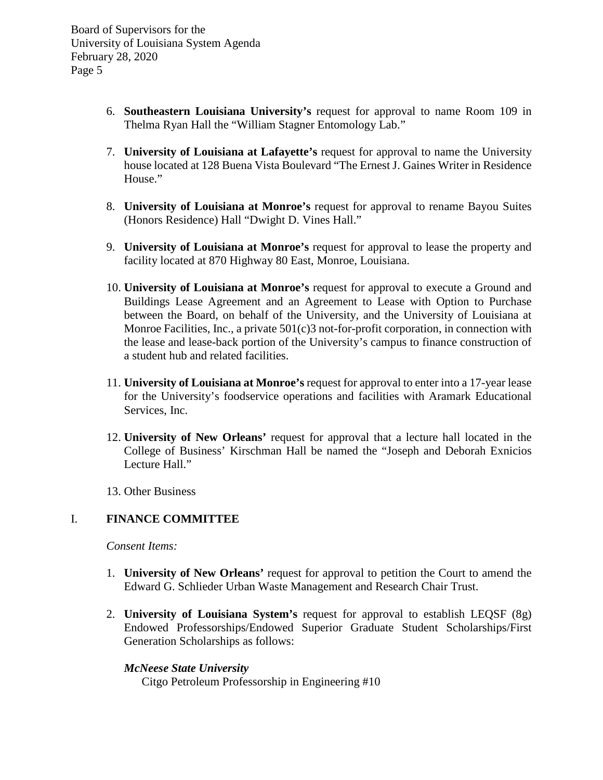- 6. **Southeastern Louisiana University's** request for approval to name Room 109 in Thelma Ryan Hall the "William Stagner Entomology Lab."
- 7. **University of Louisiana at Lafayette's** request for approval to name the University house located at 128 Buena Vista Boulevard "The Ernest J. Gaines Writer in Residence House."
- 8. **University of Louisiana at Monroe's** request for approval to rename Bayou Suites (Honors Residence) Hall "Dwight D. Vines Hall."
- 9. **University of Louisiana at Monroe's** request for approval to lease the property and facility located at 870 Highway 80 East, Monroe, Louisiana.
- 10. **University of Louisiana at Monroe's** request for approval to execute a Ground and Buildings Lease Agreement and an Agreement to Lease with Option to Purchase between the Board, on behalf of the University, and the University of Louisiana at Monroe Facilities, Inc., a private 501(c)3 not-for-profit corporation, in connection with the lease and lease-back portion of the University's campus to finance construction of a student hub and related facilities.
- 11. **University of Louisiana at Monroe's** request for approval to enter into a 17-year lease for the University's foodservice operations and facilities with Aramark Educational Services, Inc.
- 12. **University of New Orleans'** request for approval that a lecture hall located in the College of Business' Kirschman Hall be named the "Joseph and Deborah Exnicios Lecture Hall."

13. Other Business

## I. **FINANCE COMMITTEE**

*Consent Items:*

- 1. **University of New Orleans'** request for approval to petition the Court to amend the Edward G. Schlieder Urban Waste Management and Research Chair Trust.
- 2. **University of Louisiana System's** request for approval to establish LEQSF (8g) Endowed Professorships/Endowed Superior Graduate Student Scholarships/First Generation Scholarships as follows:

## *McNeese State University*

Citgo Petroleum Professorship in Engineering #10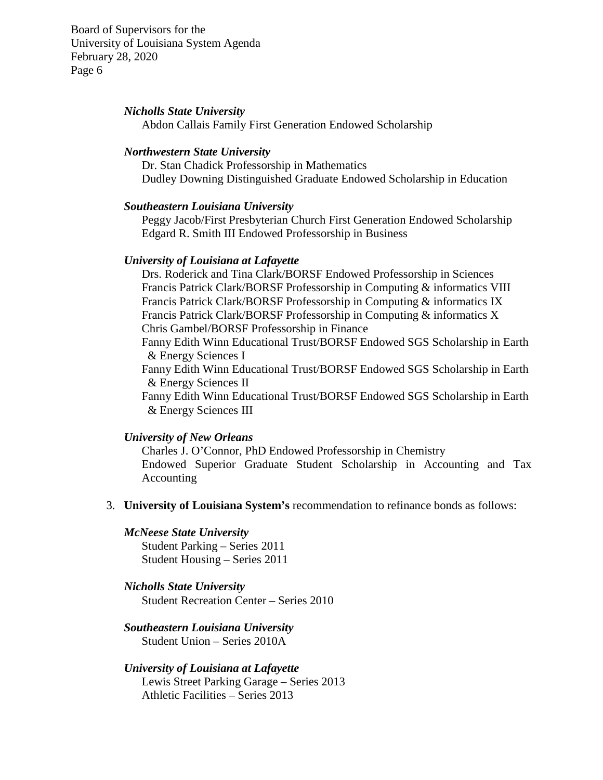#### *Nicholls State University*

Abdon Callais Family First Generation Endowed Scholarship

#### *Northwestern State University*

Dr. Stan Chadick Professorship in Mathematics Dudley Downing Distinguished Graduate Endowed Scholarship in Education

#### *Southeastern Louisiana University*

Peggy Jacob/First Presbyterian Church First Generation Endowed Scholarship Edgard R. Smith III Endowed Professorship in Business

#### *University of Louisiana at Lafayette*

Drs. Roderick and Tina Clark/BORSF Endowed Professorship in Sciences Francis Patrick Clark/BORSF Professorship in Computing & informatics VIII Francis Patrick Clark/BORSF Professorship in Computing & informatics IX Francis Patrick Clark/BORSF Professorship in Computing & informatics X Chris Gambel/BORSF Professorship in Finance

Fanny Edith Winn Educational Trust/BORSF Endowed SGS Scholarship in Earth & Energy Sciences I

Fanny Edith Winn Educational Trust/BORSF Endowed SGS Scholarship in Earth & Energy Sciences II

Fanny Edith Winn Educational Trust/BORSF Endowed SGS Scholarship in Earth & Energy Sciences III

#### *University of New Orleans*

Charles J. O'Connor, PhD Endowed Professorship in Chemistry Endowed Superior Graduate Student Scholarship in Accounting and Tax Accounting

- 3. **University of Louisiana System's** recommendation to refinance bonds as follows:
	- *McNeese State University* Student Parking – Series 2011 Student Housing – Series 2011

## *Nicholls State University* Student Recreation Center – Series 2010

## *Southeastern Louisiana University* Student Union – Series 2010A

*University of Louisiana at Lafayette* Lewis Street Parking Garage – Series 2013 Athletic Facilities – Series 2013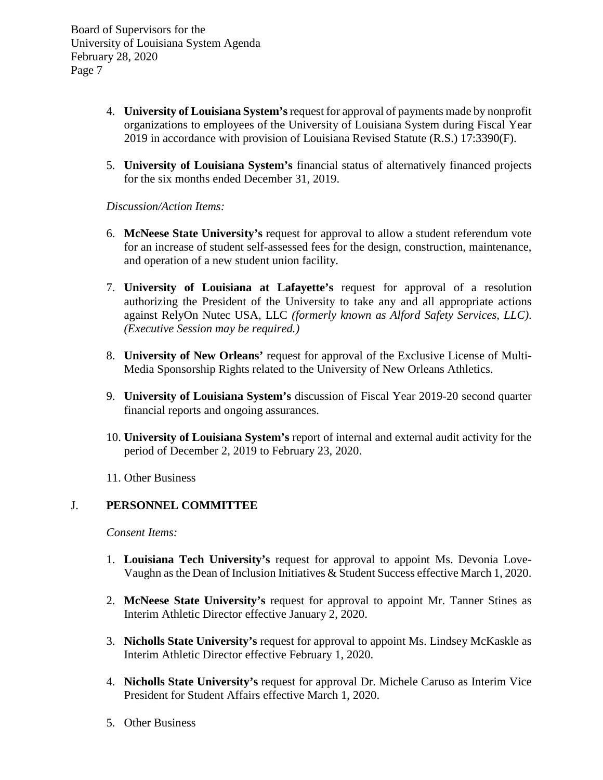- 4. **University of Louisiana System's**request for approval of payments made by nonprofit organizations to employees of the University of Louisiana System during Fiscal Year 2019 in accordance with provision of Louisiana Revised Statute (R.S.) 17:3390(F).
- 5. **University of Louisiana System's** financial status of alternatively financed projects for the six months ended December 31, 2019.

*Discussion/Action Items:*

- 6. **McNeese State University's** request for approval to allow a student referendum vote for an increase of student self-assessed fees for the design, construction, maintenance, and operation of a new student union facility.
- 7. **University of Louisiana at Lafayette's** request for approval of a resolution authorizing the President of the University to take any and all appropriate actions against RelyOn Nutec USA, LLC *(formerly known as Alford Safety Services, LLC)*. *(Executive Session may be required.)*
- 8. **University of New Orleans'** request for approval of the Exclusive License of Multi-Media Sponsorship Rights related to the University of New Orleans Athletics.
- 9. **University of Louisiana System's** discussion of Fiscal Year 2019-20 second quarter financial reports and ongoing assurances.
- 10. **University of Louisiana System's** report of internal and external audit activity for the period of December 2, 2019 to February 23, 2020.
- 11. Other Business

# J. **PERSONNEL COMMITTEE**

*Consent Items:*

- 1. **Louisiana Tech University's** request for approval to appoint Ms. Devonia Love-Vaughn as the Dean of Inclusion Initiatives & Student Success effective March 1, 2020.
- 2. **McNeese State University's** request for approval to appoint Mr. Tanner Stines as Interim Athletic Director effective January 2, 2020.
- 3. **Nicholls State University's** request for approval to appoint Ms. Lindsey McKaskle as Interim Athletic Director effective February 1, 2020.
- 4. **Nicholls State University's** request for approval Dr. Michele Caruso as Interim Vice President for Student Affairs effective March 1, 2020.
- 5. Other Business